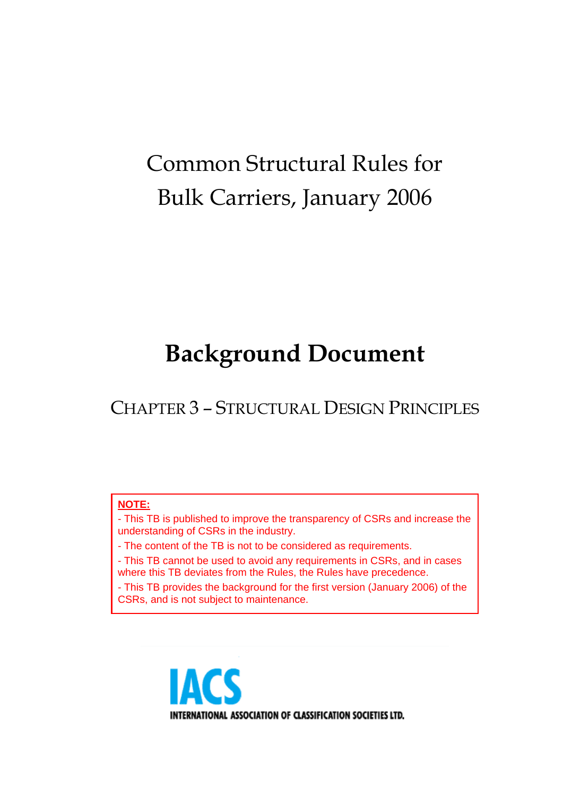# Common Structural Rules for Bulk Carriers, January 2006

# **Background Document**

CHAPTER 3 – STRUCTURAL DESIGN PRINCIPLES

#### **NOTE:**

- This TB is published to improve the transparency of CSRs and increase the understanding of CSRs in the industry.

- The content of the TB is not to be considered as requirements.

- This TB cannot be used to avoid any requirements in CSRs, and in cases where this TB deviates from the Rules, the Rules have precedence.

- This TB provides the background for the first version (January 2006) of the CSRs, and is not subject to maintenance.

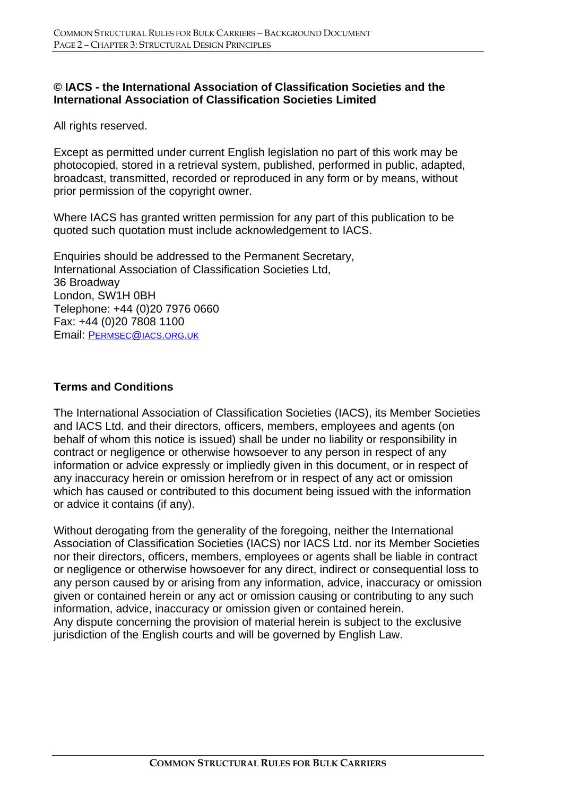### **© IACS - the International Association of Classification Societies and the International Association of Classification Societies Limited**

All rights reserved.

Except as permitted under current English legislation no part of this work may be photocopied, stored in a retrieval system, published, performed in public, adapted, broadcast, transmitted, recorded or reproduced in any form or by means, without prior permission of the copyright owner.

Where IACS has granted written permission for any part of this publication to be quoted such quotation must include acknowledgement to IACS.

Enquiries should be addressed to the Permanent Secretary, International Association of Classification Societies Ltd, 36 Broadway London, SW1H 0BH Telephone: +44 (0)20 7976 0660 Fax: +44 (0)20 7808 1100 Email: PERMSEC@IACS.ORG.UK

#### **Terms and Conditions**

The International Association of Classification Societies (IACS), its Member Societies and IACS Ltd. and their directors, officers, members, employees and agents (on behalf of whom this notice is issued) shall be under no liability or responsibility in contract or negligence or otherwise howsoever to any person in respect of any information or advice expressly or impliedly given in this document, or in respect of any inaccuracy herein or omission herefrom or in respect of any act or omission which has caused or contributed to this document being issued with the information or advice it contains (if any).

Without derogating from the generality of the foregoing, neither the International Association of Classification Societies (IACS) nor IACS Ltd. nor its Member Societies nor their directors, officers, members, employees or agents shall be liable in contract or negligence or otherwise howsoever for any direct, indirect or consequential loss to any person caused by or arising from any information, advice, inaccuracy or omission given or contained herein or any act or omission causing or contributing to any such information, advice, inaccuracy or omission given or contained herein. Any dispute concerning the provision of material herein is subject to the exclusive jurisdiction of the English courts and will be governed by English Law.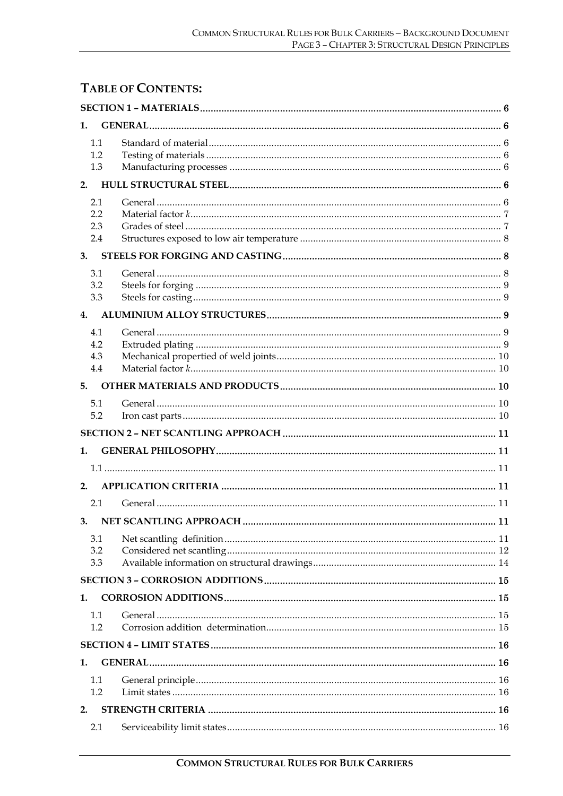# **TABLE OF CONTENTS:**

| 1.                       |  |  |  |  |  |
|--------------------------|--|--|--|--|--|
| 1.1<br>1.2<br>1.3        |  |  |  |  |  |
| 2.                       |  |  |  |  |  |
| 2.1<br>2.2<br>2.3<br>2.4 |  |  |  |  |  |
| 3.                       |  |  |  |  |  |
| 3.1<br>3.2<br>3.3        |  |  |  |  |  |
| 4.<br>4.1                |  |  |  |  |  |
| 4.2<br>4.3<br>4.4        |  |  |  |  |  |
| 5.                       |  |  |  |  |  |
| 5.1<br>5.2               |  |  |  |  |  |
|                          |  |  |  |  |  |
| 1.                       |  |  |  |  |  |
|                          |  |  |  |  |  |
| 2.                       |  |  |  |  |  |
| 2.1                      |  |  |  |  |  |
| 3.1<br>3.2<br>3.3        |  |  |  |  |  |
|                          |  |  |  |  |  |
| 1.                       |  |  |  |  |  |
| 1.1<br>1.2               |  |  |  |  |  |
|                          |  |  |  |  |  |
| 1.                       |  |  |  |  |  |
| 1.1<br>1.2               |  |  |  |  |  |
| 2.                       |  |  |  |  |  |
| 2.1                      |  |  |  |  |  |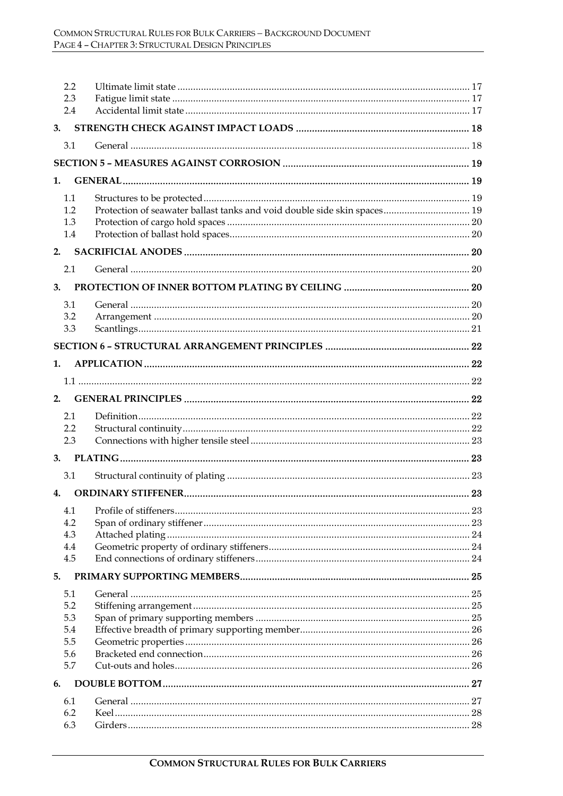| 2.2<br>2.3 |                                                                          |  |
|------------|--------------------------------------------------------------------------|--|
| 2.4        |                                                                          |  |
| 3.         |                                                                          |  |
| 3.1        |                                                                          |  |
|            |                                                                          |  |
| 1.         |                                                                          |  |
|            |                                                                          |  |
| 1.1<br>1.2 | Protection of seawater ballast tanks and void double side skin spaces 19 |  |
| 1.3        |                                                                          |  |
| 1.4        |                                                                          |  |
| 2.         |                                                                          |  |
| 2.1        |                                                                          |  |
| 3.         |                                                                          |  |
| 3.1        |                                                                          |  |
| 3.2        |                                                                          |  |
| 3.3        |                                                                          |  |
|            |                                                                          |  |
| 1.         |                                                                          |  |
|            |                                                                          |  |
|            |                                                                          |  |
| 2.         |                                                                          |  |
| 2.1        |                                                                          |  |
| 2.2        |                                                                          |  |
| 2.3        |                                                                          |  |
| 3.         |                                                                          |  |
| 3.1        |                                                                          |  |
| 4.         |                                                                          |  |
| 4.1        |                                                                          |  |
| 4.2        |                                                                          |  |
| 4.3<br>4.4 |                                                                          |  |
| 4.5        |                                                                          |  |
| 5.         |                                                                          |  |
| 5.1        |                                                                          |  |
| 5.2        |                                                                          |  |
| 5.3        |                                                                          |  |
| 5.4        |                                                                          |  |
| 5.5        |                                                                          |  |
| 5.6<br>5.7 |                                                                          |  |
| 6.         |                                                                          |  |
|            |                                                                          |  |
| 6.1<br>6.2 |                                                                          |  |
| 6.3        |                                                                          |  |
|            |                                                                          |  |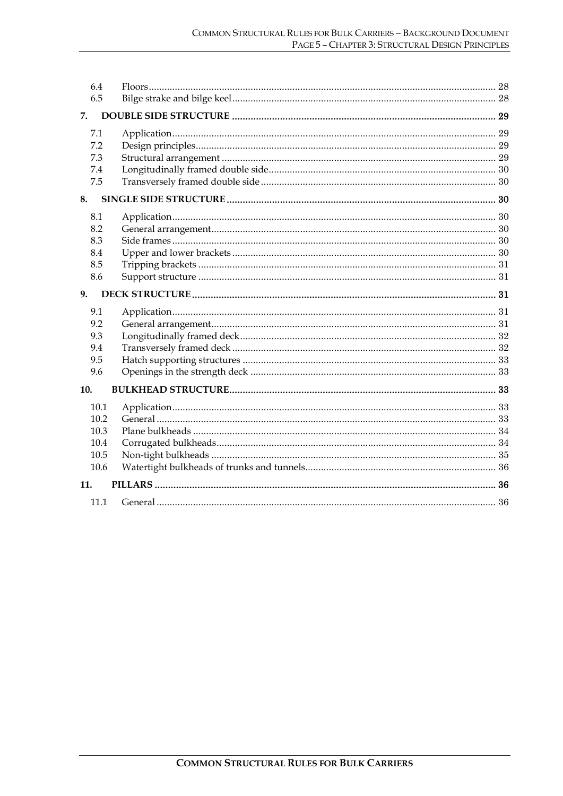| 6.4<br>6.5                                   |  |
|----------------------------------------------|--|
| 7.                                           |  |
| 7.1<br>7.2<br>7.3<br>7.4<br>7.5              |  |
| 8.                                           |  |
| 8.1<br>8.2<br>8.3<br>8.4<br>8.5<br>8.6       |  |
| 9.                                           |  |
| 9.1<br>9.2<br>9.3<br>9.4<br>9.5<br>9.6       |  |
| 10.                                          |  |
| 10.1<br>10.2<br>10.3<br>10.4<br>10.5<br>10.6 |  |
| 11.                                          |  |
| 11.1                                         |  |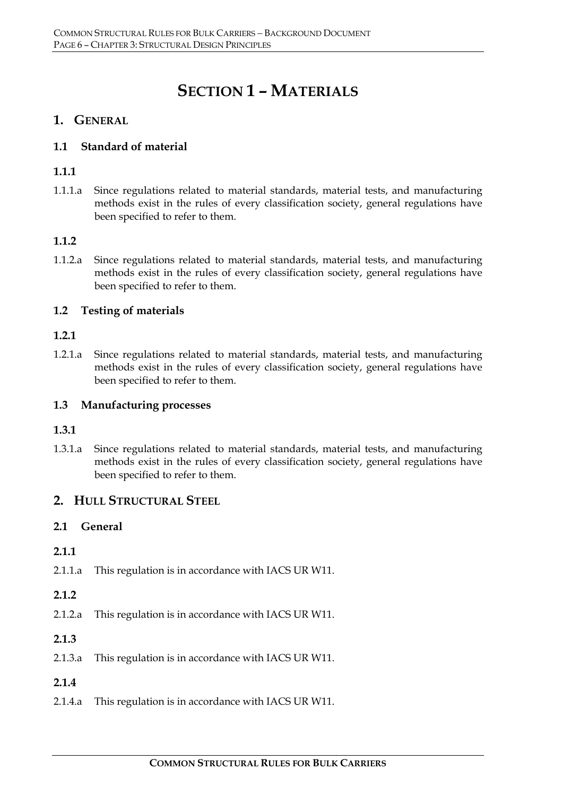# **SECTION 1 – MATERIALS**

# **1. GENERAL**

### **1.1 Standard of material**

### **1.1.1**

1.1.1.a Since regulations related to material standards, material tests, and manufacturing methods exist in the rules of every classification society, general regulations have been specified to refer to them.

### **1.1.2**

1.1.2.a Since regulations related to material standards, material tests, and manufacturing methods exist in the rules of every classification society, general regulations have been specified to refer to them.

### **1.2 Testing of materials**

#### **1.2.1**

1.2.1.a Since regulations related to material standards, material tests, and manufacturing methods exist in the rules of every classification society, general regulations have been specified to refer to them.

#### **1.3 Manufacturing processes**

#### **1.3.1**

1.3.1.a Since regulations related to material standards, material tests, and manufacturing methods exist in the rules of every classification society, general regulations have been specified to refer to them.

#### **2. HULL STRUCTURAL STEEL**

#### **2.1 General**

#### **2.1.1**

2.1.1.a This regulation is in accordance with IACS UR W11.

#### **2.1.2**

- 2.1.2.a This regulation is in accordance with IACS UR W11.
- **2.1.3**
- 2.1.3.a This regulation is in accordance with IACS UR W11.

#### **2.1.4**

2.1.4.a This regulation is in accordance with IACS UR W11.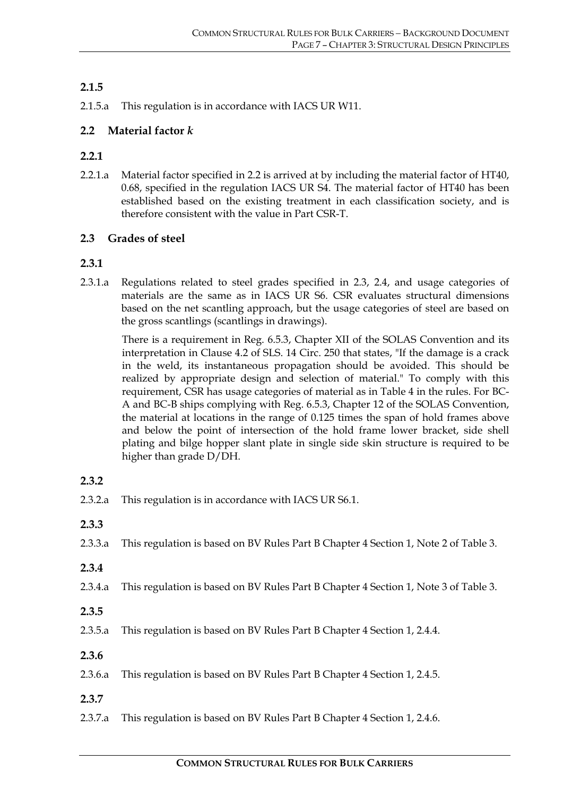# **2.1.5**

2.1.5.a This regulation is in accordance with IACS UR W11.

# **2.2 Material factor** *k*

### **2.2.1**

2.2.1.a Material factor specified in 2.2 is arrived at by including the material factor of HT40, 0.68, specified in the regulation IACS UR S4. The material factor of HT40 has been established based on the existing treatment in each classification society, and is therefore consistent with the value in Part CSR-T.

### **2.3 Grades of steel**

### **2.3.1**

2.3.1.a Regulations related to steel grades specified in 2.3, 2.4, and usage categories of materials are the same as in IACS UR S6. CSR evaluates structural dimensions based on the net scantling approach, but the usage categories of steel are based on the gross scantlings (scantlings in drawings).

There is a requirement in Reg. 6.5.3, Chapter XII of the SOLAS Convention and its interpretation in Clause 4.2 of SLS. 14 Circ. 250 that states, "If the damage is a crack in the weld, its instantaneous propagation should be avoided. This should be realized by appropriate design and selection of material." To comply with this requirement, CSR has usage categories of material as in Table 4 in the rules. For BC-A and BC-B ships complying with Reg. 6.5.3, Chapter 12 of the SOLAS Convention, the material at locations in the range of 0.125 times the span of hold frames above and below the point of intersection of the hold frame lower bracket, side shell plating and bilge hopper slant plate in single side skin structure is required to be higher than grade D/DH.

#### **2.3.2**

- 2.3.2.a This regulation is in accordance with IACS UR S6.1.
- **2.3.3**
- 2.3.3.a This regulation is based on BV Rules Part B Chapter 4 Section 1, Note 2 of Table 3.
- **2.3.4**
- 2.3.4.a This regulation is based on BV Rules Part B Chapter 4 Section 1, Note 3 of Table 3.
- **2.3.5**
- 2.3.5.a This regulation is based on BV Rules Part B Chapter 4 Section 1, 2.4.4.
- **2.3.6**
- 2.3.6.a This regulation is based on BV Rules Part B Chapter 4 Section 1, 2.4.5.
- **2.3.7**
- 2.3.7.a This regulation is based on BV Rules Part B Chapter 4 Section 1, 2.4.6.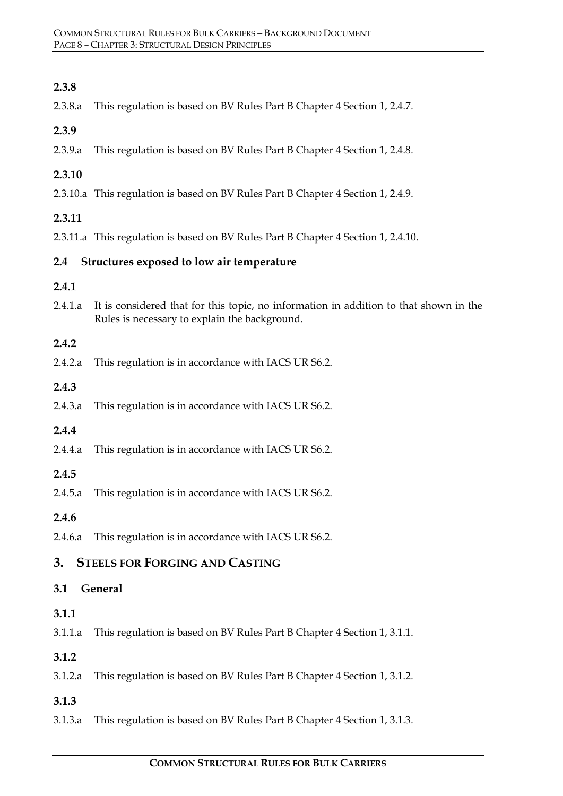2.3.8.a This regulation is based on BV Rules Part B Chapter 4 Section 1, 2.4.7.

#### **2.3.9**

2.3.9.a This regulation is based on BV Rules Part B Chapter 4 Section 1, 2.4.8.

#### **2.3.10**

2.3.10.a This regulation is based on BV Rules Part B Chapter 4 Section 1, 2.4.9.

#### **2.3.11**

2.3.11.a This regulation is based on BV Rules Part B Chapter 4 Section 1, 2.4.10.

#### **2.4 Structures exposed to low air temperature**

#### **2.4.1**

2.4.1.a It is considered that for this topic, no information in addition to that shown in the Rules is necessary to explain the background.

#### **2.4.2**

2.4.2.a This regulation is in accordance with IACS UR S6.2.

#### **2.4.3**

2.4.3.a This regulation is in accordance with IACS UR S6.2.

#### **2.4.4**

2.4.4.a This regulation is in accordance with IACS UR S6.2.

#### **2.4.5**

- 2.4.5.a This regulation is in accordance with IACS UR S6.2.
- **2.4.6**
- 2.4.6.a This regulation is in accordance with IACS UR S6.2.

# **3. STEELS FOR FORGING AND CASTING**

#### **3.1 General**

#### **3.1.1**

3.1.1.a This regulation is based on BV Rules Part B Chapter 4 Section 1, 3.1.1.

#### **3.1.2**

3.1.2.a This regulation is based on BV Rules Part B Chapter 4 Section 1, 3.1.2.

# **3.1.3**

3.1.3.a This regulation is based on BV Rules Part B Chapter 4 Section 1, 3.1.3.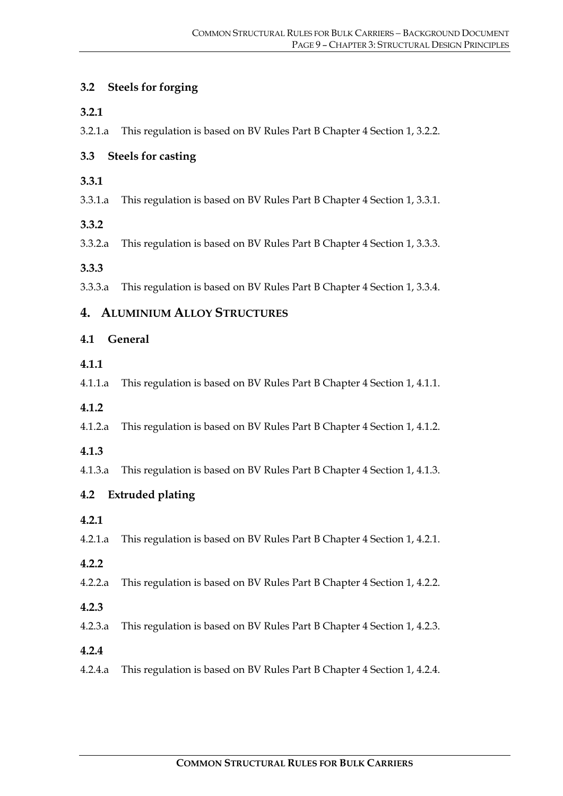# **3.2 Steels for forging**

#### **3.2.1**

3.2.1.a This regulation is based on BV Rules Part B Chapter 4 Section 1, 3.2.2.

# **3.3 Steels for casting**

- **3.3.1**
- 3.3.1.a This regulation is based on BV Rules Part B Chapter 4 Section 1, 3.3.1.

### **3.3.2**

3.3.2.a This regulation is based on BV Rules Part B Chapter 4 Section 1, 3.3.3.

### **3.3.3**

3.3.3.a This regulation is based on BV Rules Part B Chapter 4 Section 1, 3.3.4.

# **4. ALUMINIUM ALLOY STRUCTURES**

# **4.1 General**

#### **4.1.1**

4.1.1.a This regulation is based on BV Rules Part B Chapter 4 Section 1, 4.1.1.

- **4.1.2**
- 4.1.2.a This regulation is based on BV Rules Part B Chapter 4 Section 1, 4.1.2.

#### **4.1.3**

4.1.3.a This regulation is based on BV Rules Part B Chapter 4 Section 1, 4.1.3.

# **4.2 Extruded plating**

**4.2.1**

4.2.1.a This regulation is based on BV Rules Part B Chapter 4 Section 1, 4.2.1.

#### **4.2.2**

4.2.2.a This regulation is based on BV Rules Part B Chapter 4 Section 1, 4.2.2.

**4.2.3**

4.2.3.a This regulation is based on BV Rules Part B Chapter 4 Section 1, 4.2.3.

- **4.2.4**
- 4.2.4.a This regulation is based on BV Rules Part B Chapter 4 Section 1, 4.2.4.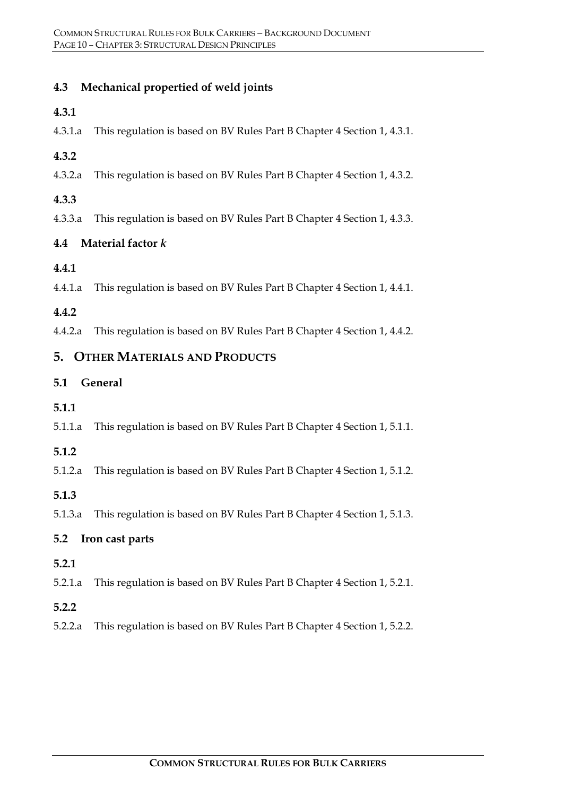# **4.3 Mechanical propertied of weld joints**

### **4.3.1**

4.3.1.a This regulation is based on BV Rules Part B Chapter 4 Section 1, 4.3.1.

# **4.3.2**

4.3.2.a This regulation is based on BV Rules Part B Chapter 4 Section 1, 4.3.2.

# **4.3.3**

4.3.3.a This regulation is based on BV Rules Part B Chapter 4 Section 1, 4.3.3.

# **4.4 Material factor** *k*

# **4.4.1**

4.4.1.a This regulation is based on BV Rules Part B Chapter 4 Section 1, 4.4.1.

# **4.4.2**

4.4.2.a This regulation is based on BV Rules Part B Chapter 4 Section 1, 4.4.2.

# **5. OTHER MATERIALS AND PRODUCTS**

# **5.1 General**

# **5.1.1**

5.1.1.a This regulation is based on BV Rules Part B Chapter 4 Section 1, 5.1.1.

# **5.1.2**

5.1.2.a This regulation is based on BV Rules Part B Chapter 4 Section 1, 5.1.2.

# **5.1.3**

5.1.3.a This regulation is based on BV Rules Part B Chapter 4 Section 1, 5.1.3.

# **5.2 Iron cast parts**

# **5.2.1**

5.2.1.a This regulation is based on BV Rules Part B Chapter 4 Section 1, 5.2.1.

# **5.2.2**

5.2.2.a This regulation is based on BV Rules Part B Chapter 4 Section 1, 5.2.2.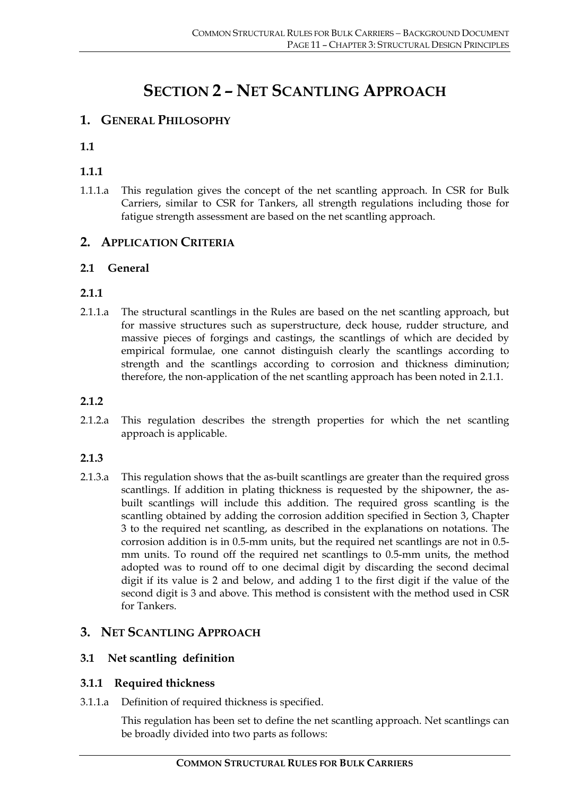# **SECTION 2 – NET SCANTLING APPROACH**

# **1. GENERAL PHILOSOPHY**

**1.1**

# **1.1.1**

1.1.1.a This regulation gives the concept of the net scantling approach. In CSR for Bulk Carriers, similar to CSR for Tankers, all strength regulations including those for fatigue strength assessment are based on the net scantling approach.

# **2. APPLICATION CRITERIA**

### **2.1 General**

### **2.1.1**

2.1.1.a The structural scantlings in the Rules are based on the net scantling approach, but for massive structures such as superstructure, deck house, rudder structure, and massive pieces of forgings and castings, the scantlings of which are decided by empirical formulae, one cannot distinguish clearly the scantlings according to strength and the scantlings according to corrosion and thickness diminution; therefore, the non-application of the net scantling approach has been noted in 2.1.1.

#### **2.1.2**

2.1.2.a This regulation describes the strength properties for which the net scantling approach is applicable.

# **2.1.3**

2.1.3.a This regulation shows that the as-built scantlings are greater than the required gross scantlings. If addition in plating thickness is requested by the shipowner, the asbuilt scantlings will include this addition. The required gross scantling is the scantling obtained by adding the corrosion addition specified in Section 3, Chapter 3 to the required net scantling, as described in the explanations on notations. The corrosion addition is in 0.5-mm units, but the required net scantlings are not in 0.5 mm units. To round off the required net scantlings to 0.5-mm units, the method adopted was to round off to one decimal digit by discarding the second decimal digit if its value is 2 and below, and adding 1 to the first digit if the value of the second digit is 3 and above. This method is consistent with the method used in CSR for Tankers.

# **3. NET SCANTLING APPROACH**

# **3.1 Net scantling definition**

# **3.1.1 Required thickness**

3.1.1.a Definition of required thickness is specified.

This regulation has been set to define the net scantling approach. Net scantlings can be broadly divided into two parts as follows: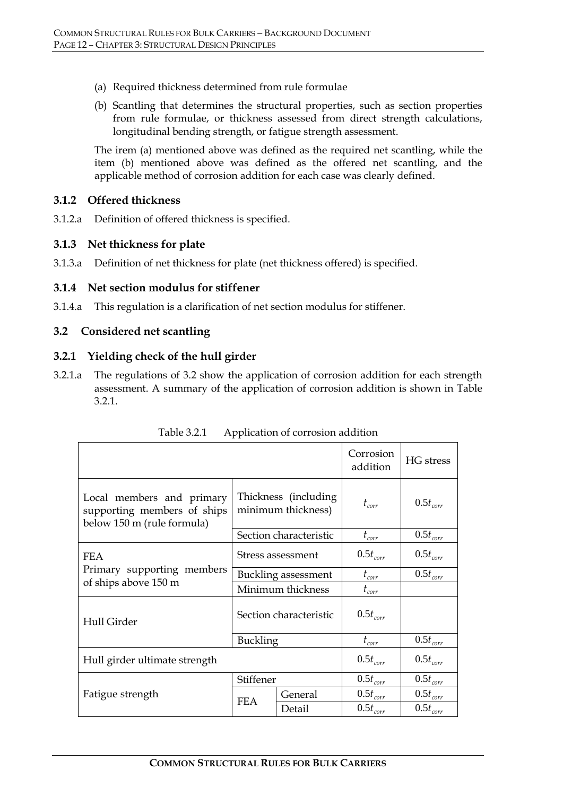- (a) Required thickness determined from rule formulae
- (b) Scantling that determines the structural properties, such as section properties from rule formulae, or thickness assessed from direct strength calculations, longitudinal bending strength, or fatigue strength assessment.

The irem (a) mentioned above was defined as the required net scantling, while the item (b) mentioned above was defined as the offered net scantling, and the applicable method of corrosion addition for each case was clearly defined.

#### **3.1.2 Offered thickness**

3.1.2.a Definition of offered thickness is specified.

#### **3.1.3 Net thickness for plate**

3.1.3.a Definition of net thickness for plate (net thickness offered) is specified.

#### **3.1.4 Net section modulus for stiffener**

3.1.4.a This regulation is a clarification of net section modulus for stiffener.

#### **3.2 Considered net scantling**

#### **3.2.1 Yielding check of the hull girder**

3.2.1.a The regulations of 3.2 show the application of corrosion addition for each strength assessment. A summary of the application of corrosion addition is shown in Table 3.2.1.

|                                                                                        | Corrosion<br>addition                       | HG stress     |                   |               |
|----------------------------------------------------------------------------------------|---------------------------------------------|---------------|-------------------|---------------|
| Local members and primary<br>supporting members of ships<br>below 150 m (rule formula) | Thickness (including)<br>minimum thickness) |               | $t_{corr}$        | $0.5t_{corr}$ |
|                                                                                        | Section characteristic                      |               | $t_{\text{corr}}$ | $0.5t_{corr}$ |
| <b>FEA</b>                                                                             | Stress assessment                           |               | $0.5t_{corr}$     | $0.5t_{corr}$ |
| Primary supporting members                                                             | Buckling assessment                         |               | $t_{corr}$        | $0.5t_{corr}$ |
| of ships above 150 m                                                                   | Minimum thickness                           |               | $t_{corr}$        |               |
| Hull Girder                                                                            | Section characteristic                      |               | $0.5t_{corr}$     |               |
|                                                                                        | <b>Buckling</b>                             |               | $t_{corr}$        | $0.5t_{corr}$ |
| Hull girder ultimate strength                                                          | $0.5t_{corr}$                               | $0.5t_{corr}$ |                   |               |
|                                                                                        | Stiffener                                   |               | $0.5t_{corr}$     | $0.5t_{corr}$ |
| Fatigue strength                                                                       | <b>FEA</b>                                  | General       | $0.5t_{corr}$     | $0.5t_{corr}$ |
|                                                                                        |                                             | Detail        | $0.5t_{corr}$     | $0.5t_{corr}$ |

Table 3.2.1 Application of corrosion addition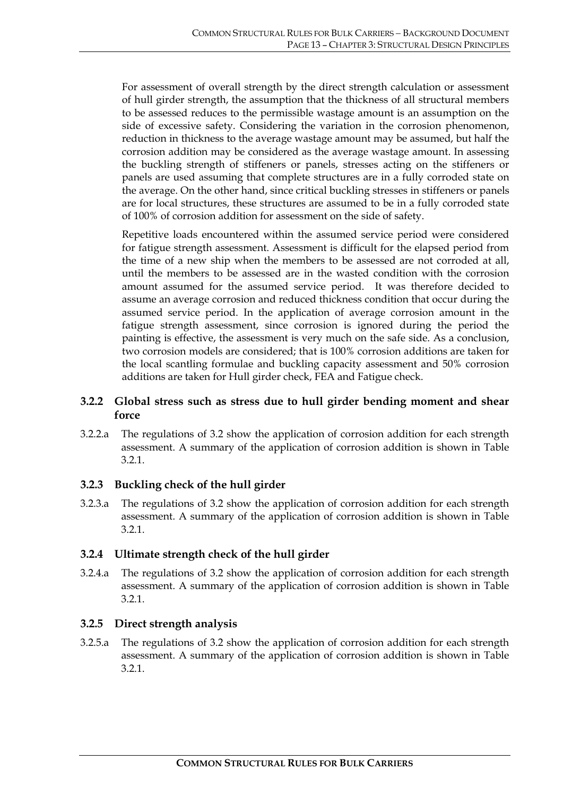For assessment of overall strength by the direct strength calculation or assessment of hull girder strength, the assumption that the thickness of all structural members to be assessed reduces to the permissible wastage amount is an assumption on the side of excessive safety. Considering the variation in the corrosion phenomenon, reduction in thickness to the average wastage amount may be assumed, but half the corrosion addition may be considered as the average wastage amount. In assessing the buckling strength of stiffeners or panels, stresses acting on the stiffeners or panels are used assuming that complete structures are in a fully corroded state on the average. On the other hand, since critical buckling stresses in stiffeners or panels are for local structures, these structures are assumed to be in a fully corroded state of 100% of corrosion addition for assessment on the side of safety.

Repetitive loads encountered within the assumed service period were considered for fatigue strength assessment. Assessment is difficult for the elapsed period from the time of a new ship when the members to be assessed are not corroded at all, until the members to be assessed are in the wasted condition with the corrosion amount assumed for the assumed service period. It was therefore decided to assume an average corrosion and reduced thickness condition that occur during the assumed service period. In the application of average corrosion amount in the fatigue strength assessment, since corrosion is ignored during the period the painting is effective, the assessment is very much on the safe side. As a conclusion, two corrosion models are considered; that is 100% corrosion additions are taken for the local scantling formulae and buckling capacity assessment and 50% corrosion additions are taken for Hull girder check, FEA and Fatigue check.

#### **3.2.2 Global stress such as stress due to hull girder bending moment and shear force**

3.2.2.a The regulations of 3.2 show the application of corrosion addition for each strength assessment. A summary of the application of corrosion addition is shown in Table 3.2.1.

#### **3.2.3 Buckling check of the hull girder**

3.2.3.a The regulations of 3.2 show the application of corrosion addition for each strength assessment. A summary of the application of corrosion addition is shown in Table 3.2.1.

#### **3.2.4 Ultimate strength check of the hull girder**

3.2.4.a The regulations of 3.2 show the application of corrosion addition for each strength assessment. A summary of the application of corrosion addition is shown in Table 3.2.1.

# **3.2.5 Direct strength analysis**

3.2.5.a The regulations of 3.2 show the application of corrosion addition for each strength assessment. A summary of the application of corrosion addition is shown in Table 3.2.1.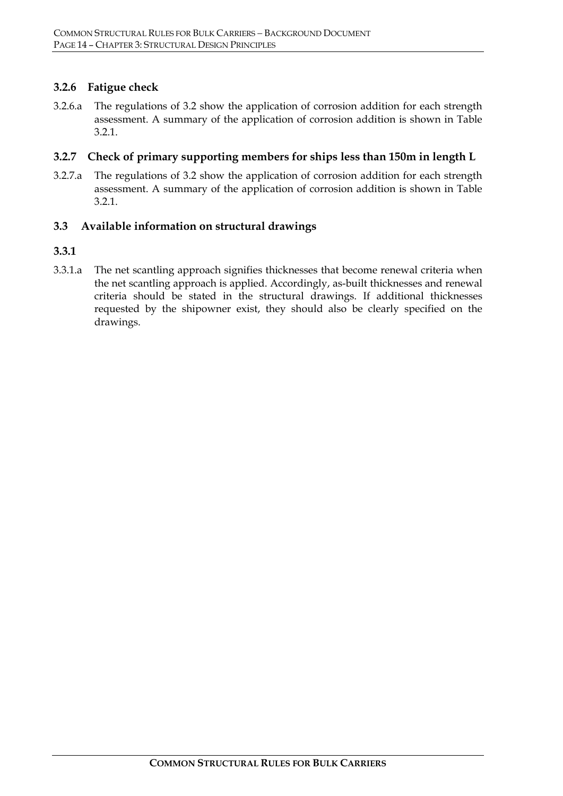#### **3.2.6 Fatigue check**

3.2.6.a The regulations of 3.2 show the application of corrosion addition for each strength assessment. A summary of the application of corrosion addition is shown in Table 3.2.1.

#### **3.2.7 Check of primary supporting members for ships less than 150m in length L**

3.2.7.a The regulations of 3.2 show the application of corrosion addition for each strength assessment. A summary of the application of corrosion addition is shown in Table 3.2.1.

### **3.3 Available information on structural drawings**

#### **3.3.1**

3.3.1.a The net scantling approach signifies thicknesses that become renewal criteria when the net scantling approach is applied. Accordingly, as-built thicknesses and renewal criteria should be stated in the structural drawings. If additional thicknesses requested by the shipowner exist, they should also be clearly specified on the drawings.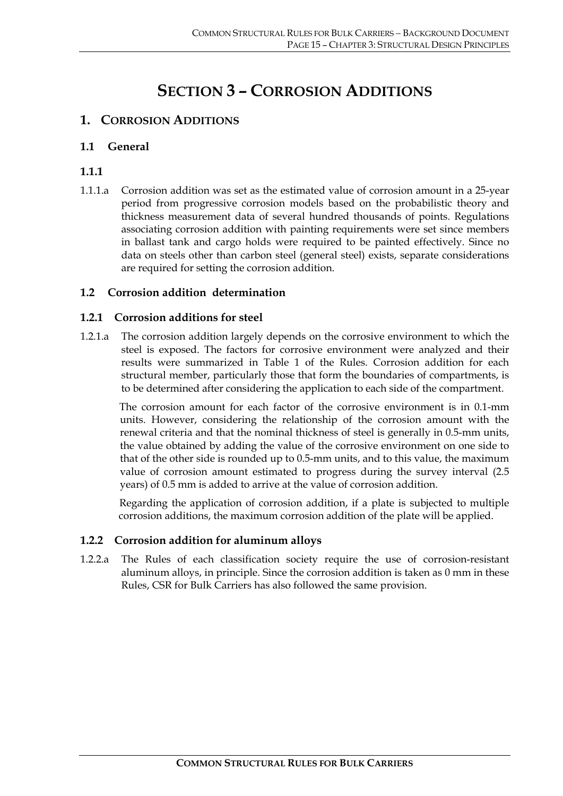# **SECTION 3 – CORROSION ADDITIONS**

# **1. CORROSION ADDITIONS**

#### **1.1 General**

#### **1.1.1**

1.1.1.a Corrosion addition was set as the estimated value of corrosion amount in a 25-year period from progressive corrosion models based on the probabilistic theory and thickness measurement data of several hundred thousands of points. Regulations associating corrosion addition with painting requirements were set since members in ballast tank and cargo holds were required to be painted effectively. Since no data on steels other than carbon steel (general steel) exists, separate considerations are required for setting the corrosion addition.

### **1.2 Corrosion addition determination**

#### **1.2.1 Corrosion additions for steel**

1.2.1.a The corrosion addition largely depends on the corrosive environment to which the steel is exposed. The factors for corrosive environment were analyzed and their results were summarized in Table 1 of the Rules. Corrosion addition for each structural member, particularly those that form the boundaries of compartments, is to be determined after considering the application to each side of the compartment.

The corrosion amount for each factor of the corrosive environment is in 0.1-mm units. However, considering the relationship of the corrosion amount with the renewal criteria and that the nominal thickness of steel is generally in 0.5-mm units, the value obtained by adding the value of the corrosive environment on one side to that of the other side is rounded up to 0.5-mm units, and to this value, the maximum value of corrosion amount estimated to progress during the survey interval (2.5 years) of 0.5 mm is added to arrive at the value of corrosion addition.

Regarding the application of corrosion addition, if a plate is subjected to multiple corrosion additions, the maximum corrosion addition of the plate will be applied.

#### **1.2.2 Corrosion addition for aluminum alloys**

1.2.2.a The Rules of each classification society require the use of corrosion-resistant aluminum alloys, in principle. Since the corrosion addition is taken as 0 mm in these Rules, CSR for Bulk Carriers has also followed the same provision.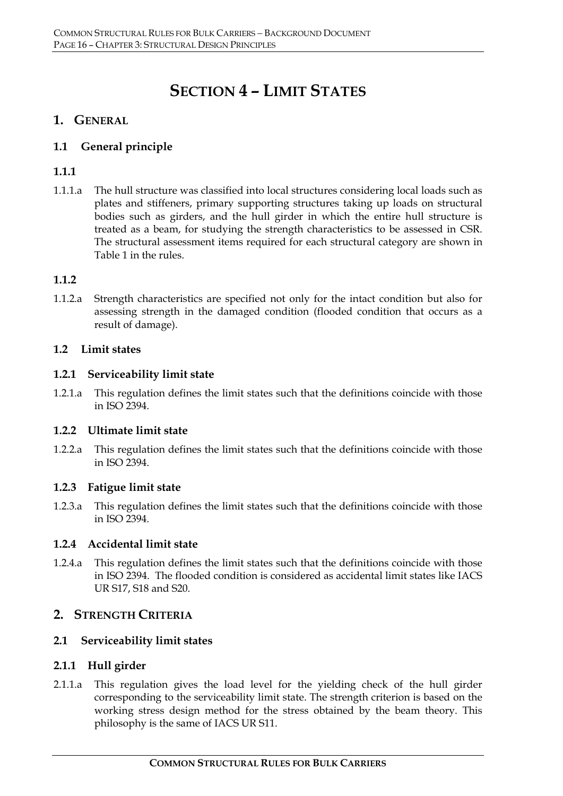# **SECTION 4 – LIMIT STATES**

# **1. GENERAL**

# **1.1 General principle**

# **1.1.1**

1.1.1.a The hull structure was classified into local structures considering local loads such as plates and stiffeners, primary supporting structures taking up loads on structural bodies such as girders, and the hull girder in which the entire hull structure is treated as a beam, for studying the strength characteristics to be assessed in CSR. The structural assessment items required for each structural category are shown in Table 1 in the rules.

# **1.1.2**

1.1.2.a Strength characteristics are specified not only for the intact condition but also for assessing strength in the damaged condition (flooded condition that occurs as a result of damage).

### **1.2 Limit states**

### **1.2.1 Serviceability limit state**

1.2.1.a This regulation defines the limit states such that the definitions coincide with those in ISO 2394.

#### **1.2.2 Ultimate limit state**

1.2.2.a This regulation defines the limit states such that the definitions coincide with those in ISO 2394.

#### **1.2.3 Fatigue limit state**

1.2.3.a This regulation defines the limit states such that the definitions coincide with those in ISO 2394.

# **1.2.4 Accidental limit state**

1.2.4.a This regulation defines the limit states such that the definitions coincide with those in ISO 2394. The flooded condition is considered as accidental limit states like IACS UR S17, S18 and S20.

# **2. STRENGTH CRITERIA**

# **2.1 Serviceability limit states**

#### **2.1.1 Hull girder**

2.1.1.a This regulation gives the load level for the yielding check of the hull girder corresponding to the serviceability limit state. The strength criterion is based on the working stress design method for the stress obtained by the beam theory. This philosophy is the same of IACS UR S11.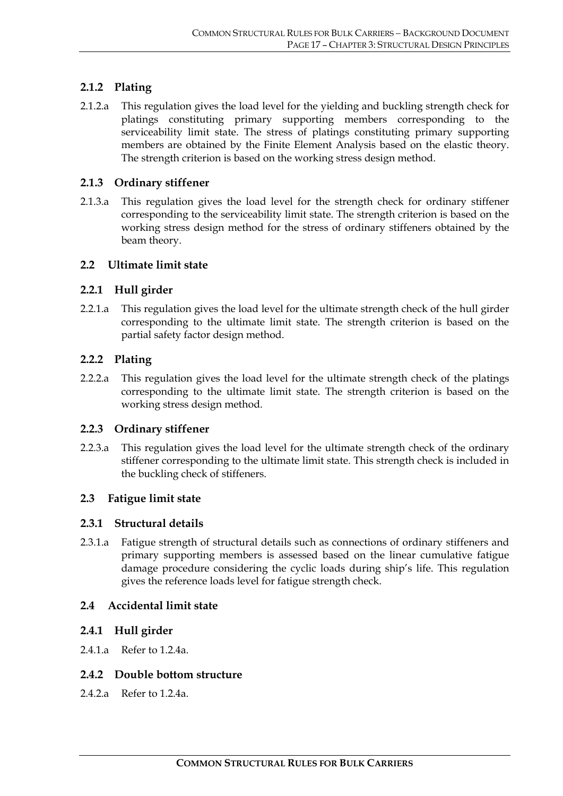# **2.1.2 Plating**

2.1.2.a This regulation gives the load level for the yielding and buckling strength check for platings constituting primary supporting members corresponding to the serviceability limit state. The stress of platings constituting primary supporting members are obtained by the Finite Element Analysis based on the elastic theory. The strength criterion is based on the working stress design method.

#### **2.1.3 Ordinary stiffener**

2.1.3.a This regulation gives the load level for the strength check for ordinary stiffener corresponding to the serviceability limit state. The strength criterion is based on the working stress design method for the stress of ordinary stiffeners obtained by the beam theory.

#### **2.2 Ultimate limit state**

#### **2.2.1 Hull girder**

2.2.1.a This regulation gives the load level for the ultimate strength check of the hull girder corresponding to the ultimate limit state. The strength criterion is based on the partial safety factor design method.

#### **2.2.2 Plating**

2.2.2.a This regulation gives the load level for the ultimate strength check of the platings corresponding to the ultimate limit state. The strength criterion is based on the working stress design method.

#### **2.2.3 Ordinary stiffener**

2.2.3.a This regulation gives the load level for the ultimate strength check of the ordinary stiffener corresponding to the ultimate limit state. This strength check is included in the buckling check of stiffeners.

#### **2.3 Fatigue limit state**

#### **2.3.1 Structural details**

2.3.1.a Fatigue strength of structural details such as connections of ordinary stiffeners and primary supporting members is assessed based on the linear cumulative fatigue damage procedure considering the cyclic loads during ship's life. This regulation gives the reference loads level for fatigue strength check.

#### **2.4 Accidental limit state**

#### **2.4.1 Hull girder**

2.4.1.a Refer to 1.2.4a.

#### **2.4.2 Double bottom structure**

 $2.4.2a$  Refer to  $1.2.4a$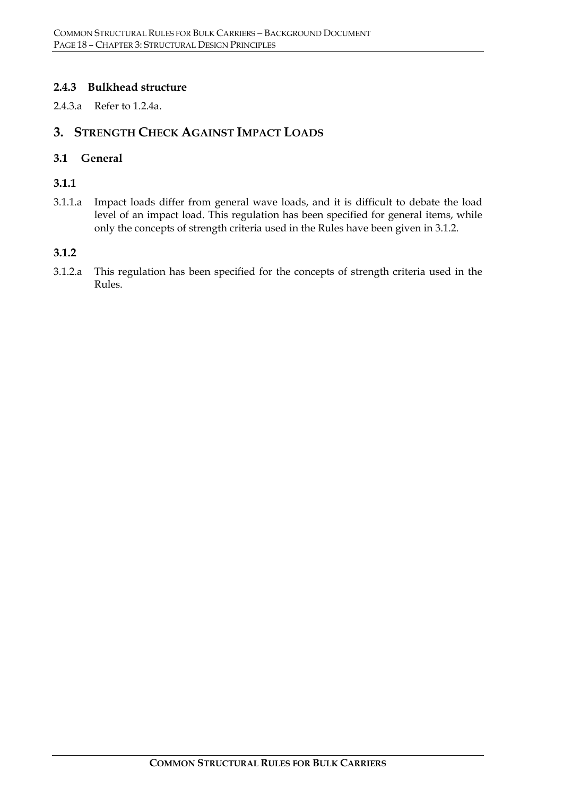### **2.4.3 Bulkhead structure**

2.4.3.a Refer to 1.2.4a.

# **3. STRENGTH CHECK AGAINST IMPACT LOADS**

#### **3.1 General**

**3.1.1**

3.1.1.a Impact loads differ from general wave loads, and it is difficult to debate the load level of an impact load. This regulation has been specified for general items, while only the concepts of strength criteria used in the Rules have been given in 3.1.2.

#### **3.1.2**

3.1.2.a This regulation has been specified for the concepts of strength criteria used in the Rules.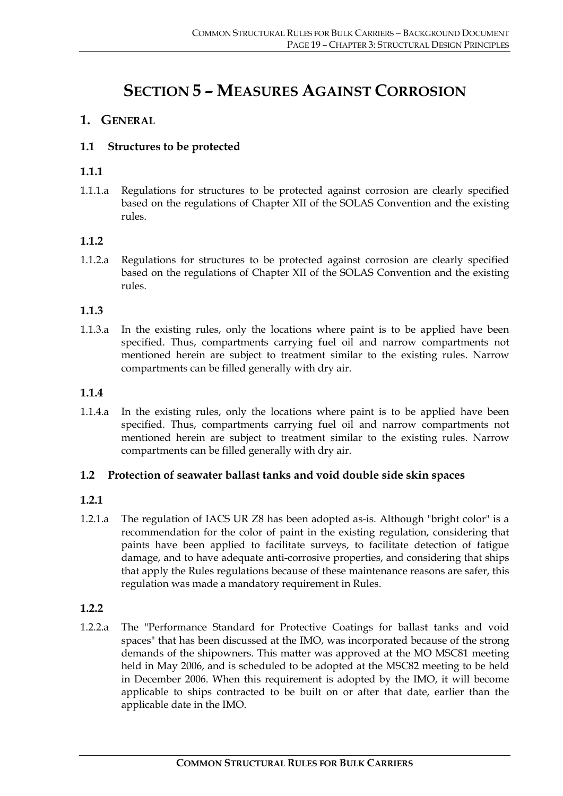# **SECTION 5 – MEASURES AGAINST CORROSION**

# **1. GENERAL**

### **1.1 Structures to be protected**

#### **1.1.1**

1.1.1.a Regulations for structures to be protected against corrosion are clearly specified based on the regulations of Chapter XII of the SOLAS Convention and the existing rules.

### **1.1.2**

1.1.2.a Regulations for structures to be protected against corrosion are clearly specified based on the regulations of Chapter XII of the SOLAS Convention and the existing rules.

#### **1.1.3**

1.1.3.a In the existing rules, only the locations where paint is to be applied have been specified. Thus, compartments carrying fuel oil and narrow compartments not mentioned herein are subject to treatment similar to the existing rules. Narrow compartments can be filled generally with dry air.

#### **1.1.4**

1.1.4.a In the existing rules, only the locations where paint is to be applied have been specified. Thus, compartments carrying fuel oil and narrow compartments not mentioned herein are subject to treatment similar to the existing rules. Narrow compartments can be filled generally with dry air.

#### **1.2 Protection of seawater ballast tanks and void double side skin spaces**

#### **1.2.1**

1.2.1.a The regulation of IACS UR Z8 has been adopted as-is. Although "bright color" is a recommendation for the color of paint in the existing regulation, considering that paints have been applied to facilitate surveys, to facilitate detection of fatigue damage, and to have adequate anti-corrosive properties, and considering that ships that apply the Rules regulations because of these maintenance reasons are safer, this regulation was made a mandatory requirement in Rules.

#### **1.2.2**

1.2.2.a The "Performance Standard for Protective Coatings for ballast tanks and void spaces" that has been discussed at the IMO, was incorporated because of the strong demands of the shipowners. This matter was approved at the MO MSC81 meeting held in May 2006, and is scheduled to be adopted at the MSC82 meeting to be held in December 2006. When this requirement is adopted by the IMO, it will become applicable to ships contracted to be built on or after that date, earlier than the applicable date in the IMO.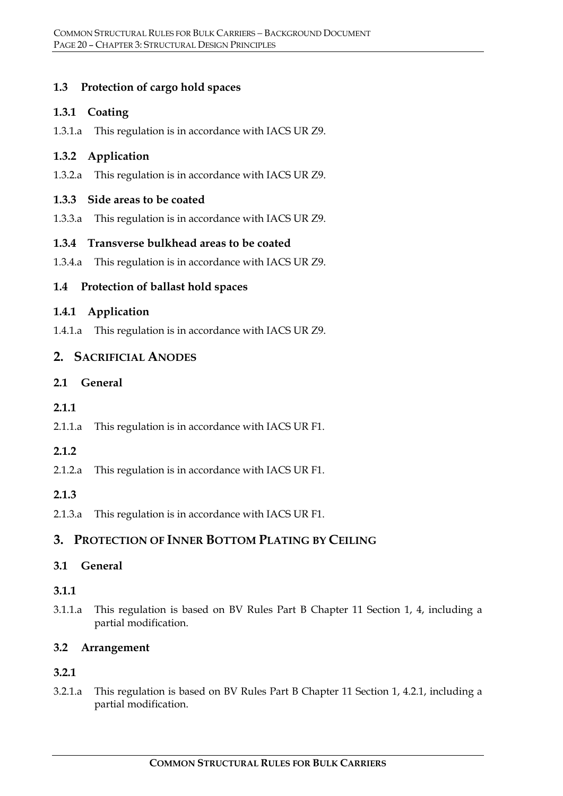# **1.3 Protection of cargo hold spaces**

#### **1.3.1 Coating**

1.3.1.a This regulation is in accordance with IACS UR Z9.

# **1.3.2 Application**

1.3.2.a This regulation is in accordance with IACS UR Z9.

### **1.3.3 Side areas to be coated**

1.3.3.a This regulation is in accordance with IACS UR Z9.

# **1.3.4 Transverse bulkhead areas to be coated**

1.3.4.a This regulation is in accordance with IACS UR Z9.

# **1.4 Protection of ballast hold spaces**

### **1.4.1 Application**

1.4.1.a This regulation is in accordance with IACS UR Z9.

# **2. SACRIFICIAL ANODES**

**2.1 General** 

# **2.1.1**

2.1.1.a This regulation is in accordance with IACS UR F1.

# **2.1.2**

2.1.2.a This regulation is in accordance with IACS UR F1.

# **2.1.3**

2.1.3.a This regulation is in accordance with IACS UR F1.

# **3. PROTECTION OF INNER BOTTOM PLATING BY CEILING**

# **3.1 General**

# **3.1.1**

3.1.1.a This regulation is based on BV Rules Part B Chapter 11 Section 1, 4, including a partial modification.

# **3.2 Arrangement**

# **3.2.1**

3.2.1.a This regulation is based on BV Rules Part B Chapter 11 Section 1, 4.2.1, including a partial modification.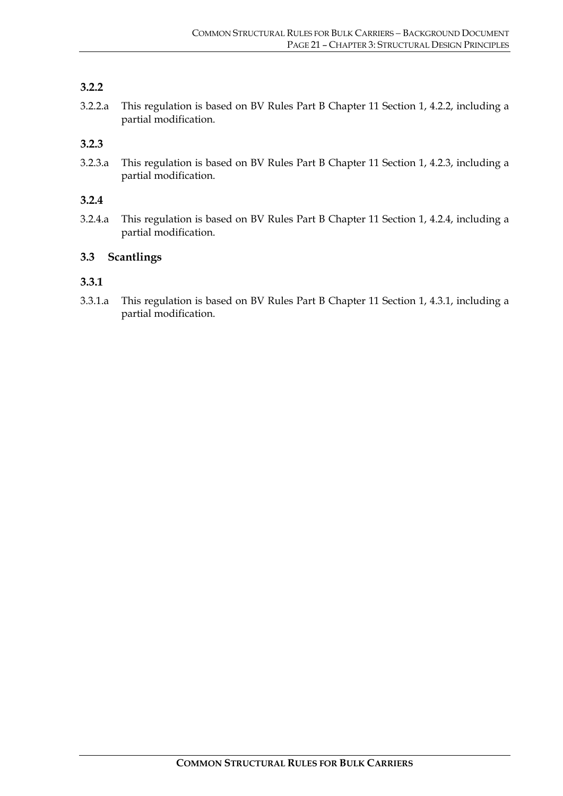# **3.2.2**

3.2.2.a This regulation is based on BV Rules Part B Chapter 11 Section 1, 4.2.2, including a partial modification.

#### **3.2.3**

3.2.3.a This regulation is based on BV Rules Part B Chapter 11 Section 1, 4.2.3, including a partial modification.

#### **3.2.4**

3.2.4.a This regulation is based on BV Rules Part B Chapter 11 Section 1, 4.2.4, including a partial modification.

### **3.3 Scantlings**

#### **3.3.1**

3.3.1.a This regulation is based on BV Rules Part B Chapter 11 Section 1, 4.3.1, including a partial modification.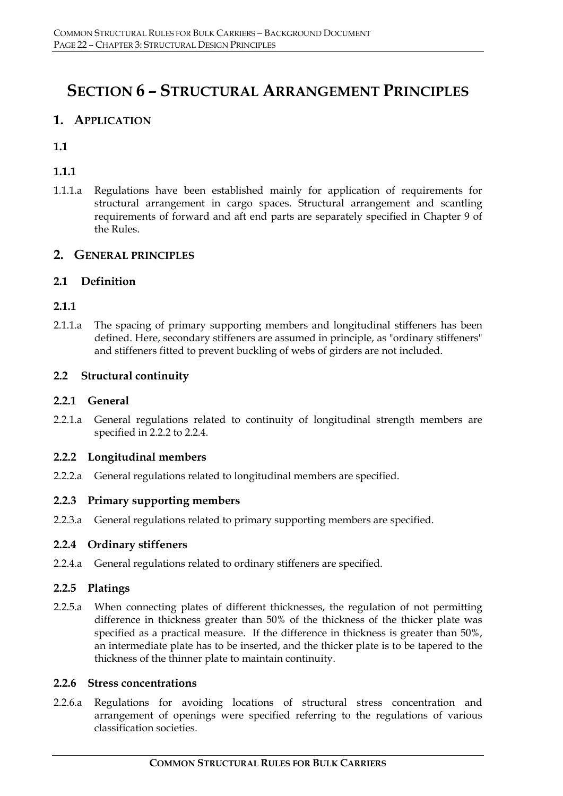# **SECTION 6 – STRUCTURAL ARRANGEMENT PRINCIPLES**

# **1. APPLICATION**

# **1.1**

# **1.1.1**

1.1.1.a Regulations have been established mainly for application of requirements for structural arrangement in cargo spaces. Structural arrangement and scantling requirements of forward and aft end parts are separately specified in Chapter 9 of the Rules.

### **2. GENERAL PRINCIPLES**

### **2.1 Definition**

# **2.1.1**

2.1.1.a The spacing of primary supporting members and longitudinal stiffeners has been defined. Here, secondary stiffeners are assumed in principle, as "ordinary stiffeners" and stiffeners fitted to prevent buckling of webs of girders are not included.

### **2.2 Structural continuity**

#### **2.2.1 General**

2.2.1.a General regulations related to continuity of longitudinal strength members are specified in 2.2.2 to 2.2.4.

#### **2.2.2 Longitudinal members**

2.2.2.a General regulations related to longitudinal members are specified.

#### **2.2.3 Primary supporting members**

2.2.3.a General regulations related to primary supporting members are specified.

#### **2.2.4 Ordinary stiffeners**

2.2.4.a General regulations related to ordinary stiffeners are specified.

#### **2.2.5 Platings**

2.2.5.a When connecting plates of different thicknesses, the regulation of not permitting difference in thickness greater than 50% of the thickness of the thicker plate was specified as a practical measure. If the difference in thickness is greater than 50%, an intermediate plate has to be inserted, and the thicker plate is to be tapered to the thickness of the thinner plate to maintain continuity.

#### **2.2.6 Stress concentrations**

2.2.6.a Regulations for avoiding locations of structural stress concentration and arrangement of openings were specified referring to the regulations of various classification societies.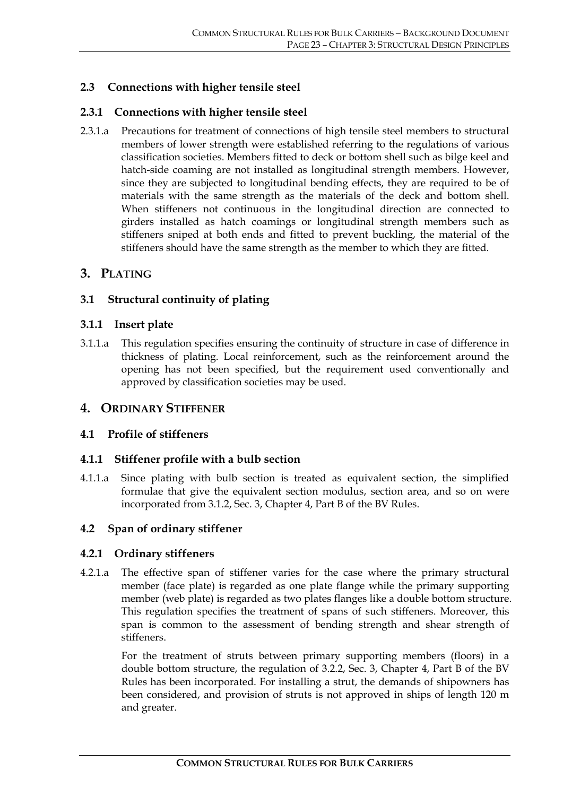# **2.3 Connections with higher tensile steel**

#### **2.3.1 Connections with higher tensile steel**

2.3.1.a Precautions for treatment of connections of high tensile steel members to structural members of lower strength were established referring to the regulations of various classification societies. Members fitted to deck or bottom shell such as bilge keel and hatch-side coaming are not installed as longitudinal strength members. However, since they are subjected to longitudinal bending effects, they are required to be of materials with the same strength as the materials of the deck and bottom shell. When stiffeners not continuous in the longitudinal direction are connected to girders installed as hatch coamings or longitudinal strength members such as stiffeners sniped at both ends and fitted to prevent buckling, the material of the stiffeners should have the same strength as the member to which they are fitted.

#### **3. PLATING**

#### **3.1 Structural continuity of plating**

#### **3.1.1 Insert plate**

3.1.1.a This regulation specifies ensuring the continuity of structure in case of difference in thickness of plating. Local reinforcement, such as the reinforcement around the opening has not been specified, but the requirement used conventionally and approved by classification societies may be used.

#### **4. ORDINARY STIFFENER**

#### **4.1 Profile of stiffeners**

#### **4.1.1 Stiffener profile with a bulb section**

4.1.1.a Since plating with bulb section is treated as equivalent section, the simplified formulae that give the equivalent section modulus, section area, and so on were incorporated from 3.1.2, Sec. 3, Chapter 4, Part B of the BV Rules.

#### **4.2 Span of ordinary stiffener**

#### **4.2.1 Ordinary stiffeners**

4.2.1.a The effective span of stiffener varies for the case where the primary structural member (face plate) is regarded as one plate flange while the primary supporting member (web plate) is regarded as two plates flanges like a double bottom structure. This regulation specifies the treatment of spans of such stiffeners. Moreover, this span is common to the assessment of bending strength and shear strength of stiffeners.

For the treatment of struts between primary supporting members (floors) in a double bottom structure, the regulation of 3.2.2, Sec. 3, Chapter 4, Part B of the BV Rules has been incorporated. For installing a strut, the demands of shipowners has been considered, and provision of struts is not approved in ships of length 120 m and greater.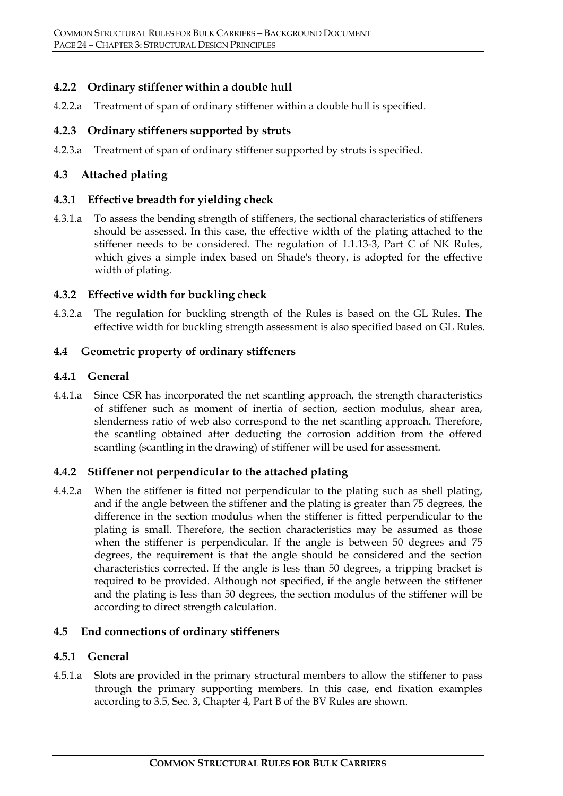#### **4.2.2 Ordinary stiffener within a double hull**

4.2.2.a Treatment of span of ordinary stiffener within a double hull is specified.

#### **4.2.3 Ordinary stiffeners supported by struts**

4.2.3.a Treatment of span of ordinary stiffener supported by struts is specified.

#### **4.3 Attached plating**

#### **4.3.1 Effective breadth for yielding check**

4.3.1.a To assess the bending strength of stiffeners, the sectional characteristics of stiffeners should be assessed. In this case, the effective width of the plating attached to the stiffener needs to be considered. The regulation of 1.1.13-3, Part C of NK Rules, which gives a simple index based on Shade's theory, is adopted for the effective width of plating.

#### **4.3.2 Effective width for buckling check**

4.3.2.a The regulation for buckling strength of the Rules is based on the GL Rules. The effective width for buckling strength assessment is also specified based on GL Rules.

#### **4.4 Geometric property of ordinary stiffeners**

#### **4.4.1 General**

4.4.1.a Since CSR has incorporated the net scantling approach, the strength characteristics of stiffener such as moment of inertia of section, section modulus, shear area, slenderness ratio of web also correspond to the net scantling approach. Therefore, the scantling obtained after deducting the corrosion addition from the offered scantling (scantling in the drawing) of stiffener will be used for assessment.

#### **4.4.2 Stiffener not perpendicular to the attached plating**

4.4.2.a When the stiffener is fitted not perpendicular to the plating such as shell plating, and if the angle between the stiffener and the plating is greater than 75 degrees, the difference in the section modulus when the stiffener is fitted perpendicular to the plating is small. Therefore, the section characteristics may be assumed as those when the stiffener is perpendicular. If the angle is between 50 degrees and 75 degrees, the requirement is that the angle should be considered and the section characteristics corrected. If the angle is less than 50 degrees, a tripping bracket is required to be provided. Although not specified, if the angle between the stiffener and the plating is less than 50 degrees, the section modulus of the stiffener will be according to direct strength calculation.

#### **4.5 End connections of ordinary stiffeners**

#### **4.5.1 General**

4.5.1.a Slots are provided in the primary structural members to allow the stiffener to pass through the primary supporting members. In this case, end fixation examples according to 3.5, Sec. 3, Chapter 4, Part B of the BV Rules are shown.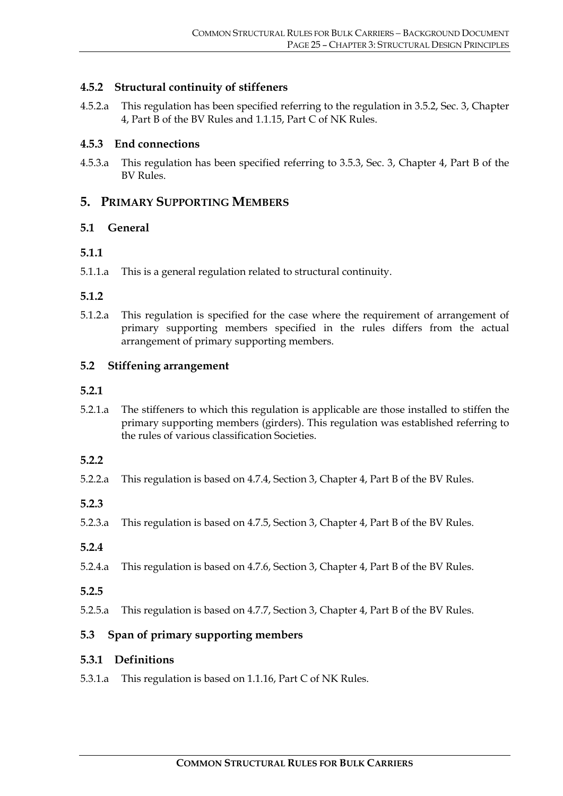#### **4.5.2 Structural continuity of stiffeners**

4.5.2.a This regulation has been specified referring to the regulation in 3.5.2, Sec. 3, Chapter 4, Part B of the BV Rules and 1.1.15, Part C of NK Rules.

#### **4.5.3 End connections**

4.5.3.a This regulation has been specified referring to 3.5.3, Sec. 3, Chapter 4, Part B of the BV Rules.

#### **5. PRIMARY SUPPORTING MEMBERS**

#### **5.1 General**

#### **5.1.1**

5.1.1.a This is a general regulation related to structural continuity.

#### **5.1.2**

5.1.2.a This regulation is specified for the case where the requirement of arrangement of primary supporting members specified in the rules differs from the actual arrangement of primary supporting members.

#### **5.2 Stiffening arrangement**

#### **5.2.1**

5.2.1.a The stiffeners to which this regulation is applicable are those installed to stiffen the primary supporting members (girders). This regulation was established referring to the rules of various classification Societies.

#### **5.2.2**

- 5.2.2.a This regulation is based on 4.7.4, Section 3, Chapter 4, Part B of the BV Rules.
- **5.2.3**
- 5.2.3.a This regulation is based on 4.7.5, Section 3, Chapter 4, Part B of the BV Rules.
- **5.2.4**
- 5.2.4.a This regulation is based on 4.7.6, Section 3, Chapter 4, Part B of the BV Rules.
- **5.2.5**
- 5.2.5.a This regulation is based on 4.7.7, Section 3, Chapter 4, Part B of the BV Rules.

#### **5.3 Span of primary supporting members**

#### **5.3.1 Definitions**

5.3.1.a This regulation is based on 1.1.16, Part C of NK Rules.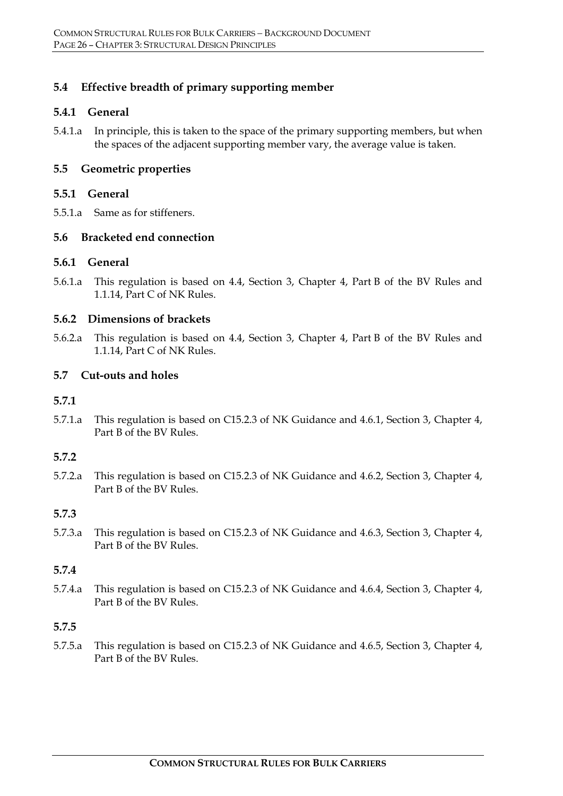### **5.4 Effective breadth of primary supporting member**

#### **5.4.1 General**

5.4.1.a In principle, this is taken to the space of the primary supporting members, but when the spaces of the adjacent supporting member vary, the average value is taken.

#### **5.5 Geometric properties**

#### **5.5.1 General**

5.5.1.a Same as for stiffeners.

#### **5.6 Bracketed end connection**

#### **5.6.1 General**

5.6.1.a This regulation is based on 4.4, Section 3, Chapter 4, Part B of the BV Rules and 1.1.14, Part C of NK Rules.

#### **5.6.2 Dimensions of brackets**

5.6.2.a This regulation is based on 4.4, Section 3, Chapter 4, Part B of the BV Rules and 1.1.14, Part C of NK Rules.

#### **5.7 Cut-outs and holes**

#### **5.7.1**

5.7.1.a This regulation is based on C15.2.3 of NK Guidance and 4.6.1, Section 3, Chapter 4, Part B of the BV Rules.

#### **5.7.2**

5.7.2.a This regulation is based on C15.2.3 of NK Guidance and 4.6.2, Section 3, Chapter 4, Part B of the BV Rules.

#### **5.7.3**

5.7.3.a This regulation is based on C15.2.3 of NK Guidance and 4.6.3, Section 3, Chapter 4, Part B of the BV Rules.

#### **5.7.4**

5.7.4.a This regulation is based on C15.2.3 of NK Guidance and 4.6.4, Section 3, Chapter 4, Part B of the BV Rules.

#### **5.7.5**

5.7.5.a This regulation is based on C15.2.3 of NK Guidance and 4.6.5, Section 3, Chapter 4, Part B of the BV Rules.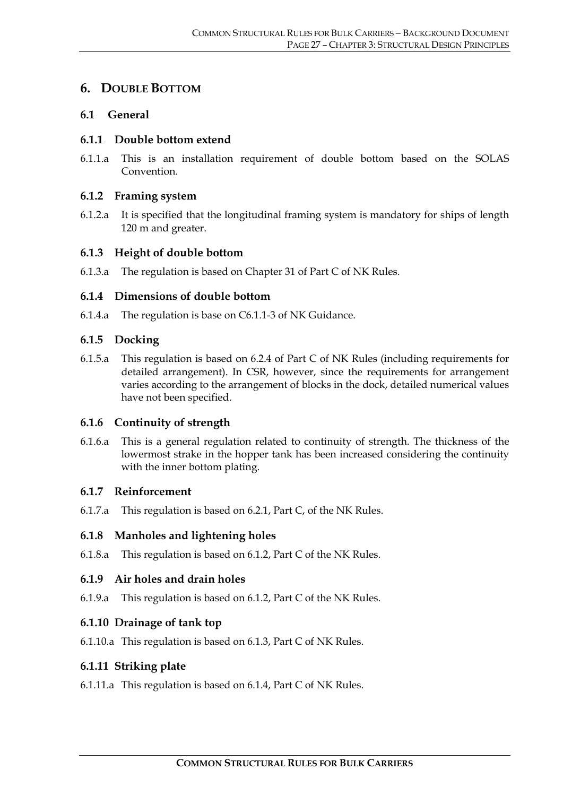# **6. DOUBLE BOTTOM**

#### **6.1 General**

#### **6.1.1 Double bottom extend**

6.1.1.a This is an installation requirement of double bottom based on the SOLAS Convention.

#### **6.1.2 Framing system**

6.1.2.a It is specified that the longitudinal framing system is mandatory for ships of length 120 m and greater.

#### **6.1.3 Height of double bottom**

6.1.3.a The regulation is based on Chapter 31 of Part C of NK Rules.

#### **6.1.4 Dimensions of double bottom**

6.1.4.a The regulation is base on C6.1.1-3 of NK Guidance.

#### **6.1.5 Docking**

6.1.5.a This regulation is based on 6.2.4 of Part C of NK Rules (including requirements for detailed arrangement). In CSR, however, since the requirements for arrangement varies according to the arrangement of blocks in the dock, detailed numerical values have not been specified.

#### **6.1.6 Continuity of strength**

6.1.6.a This is a general regulation related to continuity of strength. The thickness of the lowermost strake in the hopper tank has been increased considering the continuity with the inner bottom plating.

#### **6.1.7 Reinforcement**

6.1.7.a This regulation is based on 6.2.1, Part C, of the NK Rules.

#### **6.1.8 Manholes and lightening holes**

6.1.8.a This regulation is based on 6.1.2, Part C of the NK Rules.

#### **6.1.9 Air holes and drain holes**

6.1.9.a This regulation is based on 6.1.2, Part C of the NK Rules.

#### **6.1.10 Drainage of tank top**

6.1.10.a This regulation is based on 6.1.3, Part C of NK Rules.

#### **6.1.11 Striking plate**

6.1.11.a This regulation is based on 6.1.4, Part C of NK Rules.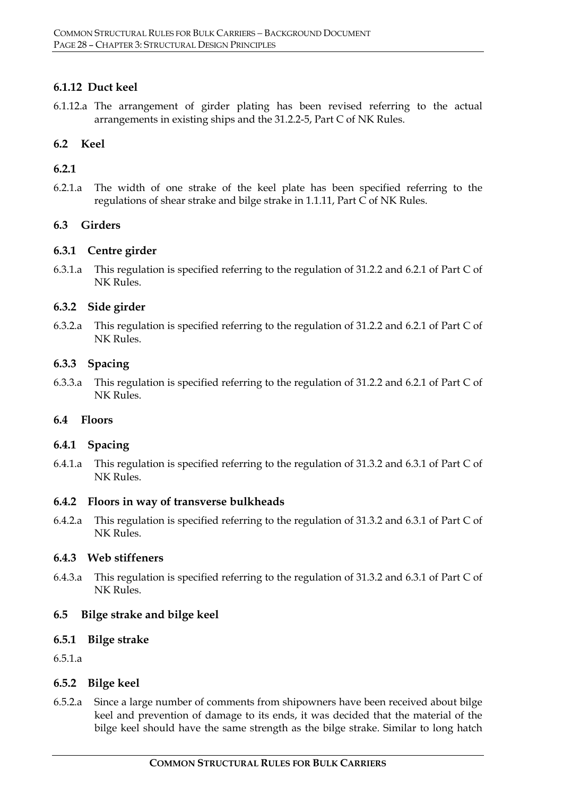### **6.1.12 Duct keel**

6.1.12.a The arrangement of girder plating has been revised referring to the actual arrangements in existing ships and the 31.2.2-5, Part C of NK Rules.

#### **6.2 Keel**

### **6.2.1**

6.2.1.a The width of one strake of the keel plate has been specified referring to the regulations of shear strake and bilge strake in 1.1.11, Part C of NK Rules.

### **6.3 Girders**

#### **6.3.1 Centre girder**

6.3.1.a This regulation is specified referring to the regulation of 31.2.2 and 6.2.1 of Part C of NK Rules.

### **6.3.2 Side girder**

6.3.2.a This regulation is specified referring to the regulation of 31.2.2 and 6.2.1 of Part C of NK Rules.

#### **6.3.3 Spacing**

6.3.3.a This regulation is specified referring to the regulation of 31.2.2 and 6.2.1 of Part C of NK Rules.

#### **6.4 Floors**

#### **6.4.1 Spacing**

6.4.1.a This regulation is specified referring to the regulation of 31.3.2 and 6.3.1 of Part C of NK Rules.

#### **6.4.2 Floors in way of transverse bulkheads**

6.4.2.a This regulation is specified referring to the regulation of 31.3.2 and 6.3.1 of Part C of NK Rules.

#### **6.4.3 Web stiffeners**

6.4.3.a This regulation is specified referring to the regulation of 31.3.2 and 6.3.1 of Part C of NK Rules.

#### **6.5 Bilge strake and bilge keel**

#### **6.5.1 Bilge strake**

6.5.1.a

#### **6.5.2 Bilge keel**

6.5.2.a Since a large number of comments from shipowners have been received about bilge keel and prevention of damage to its ends, it was decided that the material of the bilge keel should have the same strength as the bilge strake. Similar to long hatch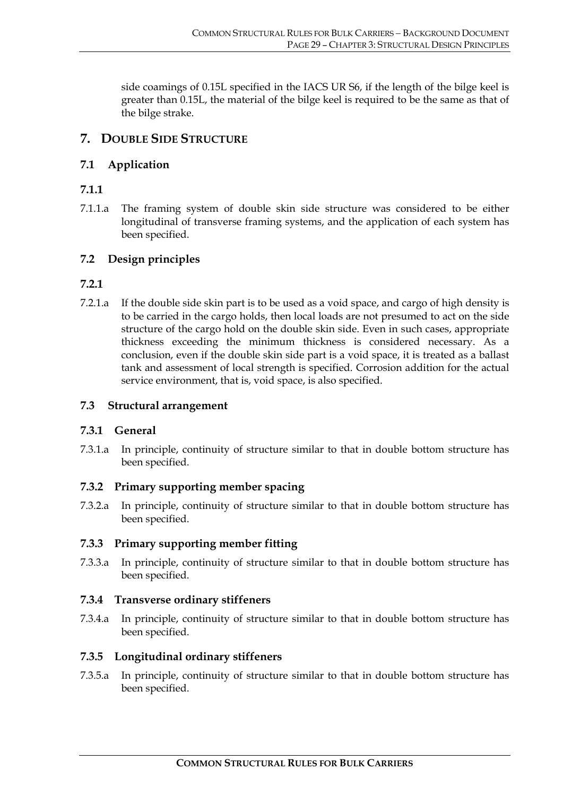side coamings of 0.15L specified in the IACS UR S6, if the length of the bilge keel is greater than 0.15L, the material of the bilge keel is required to be the same as that of the bilge strake.

# **7. DOUBLE SIDE STRUCTURE**

# **7.1 Application**

# **7.1.1**

7.1.1.a The framing system of double skin side structure was considered to be either longitudinal of transverse framing systems, and the application of each system has been specified.

# **7.2 Design principles**

# **7.2.1**

7.2.1.a If the double side skin part is to be used as a void space, and cargo of high density is to be carried in the cargo holds, then local loads are not presumed to act on the side structure of the cargo hold on the double skin side. Even in such cases, appropriate thickness exceeding the minimum thickness is considered necessary. As a conclusion, even if the double skin side part is a void space, it is treated as a ballast tank and assessment of local strength is specified. Corrosion addition for the actual service environment, that is, void space, is also specified.

# **7.3 Structural arrangement**

#### **7.3.1 General**

7.3.1.a In principle, continuity of structure similar to that in double bottom structure has been specified.

#### **7.3.2 Primary supporting member spacing**

7.3.2.a In principle, continuity of structure similar to that in double bottom structure has been specified.

# **7.3.3 Primary supporting member fitting**

7.3.3.a In principle, continuity of structure similar to that in double bottom structure has been specified.

#### **7.3.4 Transverse ordinary stiffeners**

7.3.4.a In principle, continuity of structure similar to that in double bottom structure has been specified.

#### **7.3.5 Longitudinal ordinary stiffeners**

7.3.5.a In principle, continuity of structure similar to that in double bottom structure has been specified.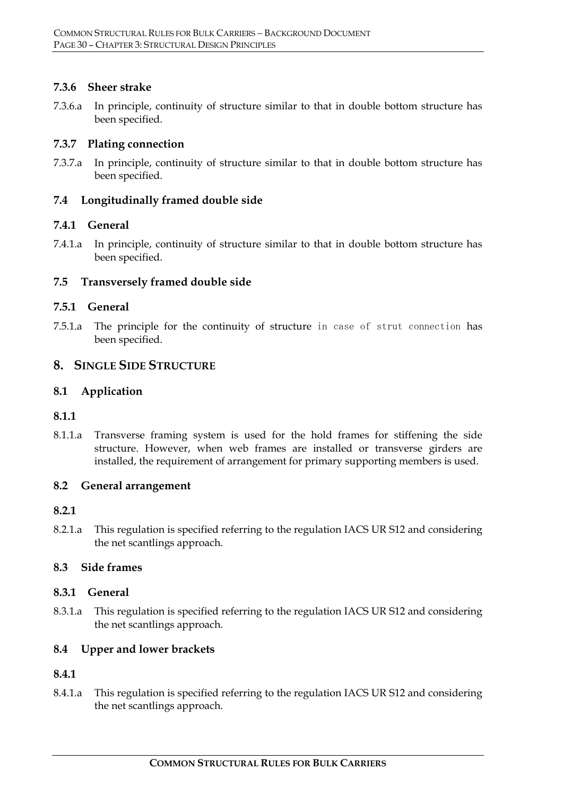#### **7.3.6 Sheer strake**

7.3.6.a In principle, continuity of structure similar to that in double bottom structure has been specified.

#### **7.3.7 Plating connection**

7.3.7.a In principle, continuity of structure similar to that in double bottom structure has been specified.

#### **7.4 Longitudinally framed double side**

### **7.4.1 General**

7.4.1.a In principle, continuity of structure similar to that in double bottom structure has been specified.

### **7.5 Transversely framed double side**

#### **7.5.1 General**

7.5.1.a The principle for the continuity of structure in case of strut connection has been specified.

### **8. SINGLE SIDE STRUCTURE**

#### **8.1 Application**

#### **8.1.1**

8.1.1.a Transverse framing system is used for the hold frames for stiffening the side structure. However, when web frames are installed or transverse girders are installed, the requirement of arrangement for primary supporting members is used.

#### **8.2 General arrangement**

#### **8.2.1**

8.2.1.a This regulation is specified referring to the regulation IACS UR S12 and considering the net scantlings approach.

#### **8.3 Side frames**

#### **8.3.1 General**

8.3.1.a This regulation is specified referring to the regulation IACS UR S12 and considering the net scantlings approach.

# **8.4 Upper and lower brackets**

# **8.4.1**

8.4.1.a This regulation is specified referring to the regulation IACS UR S12 and considering the net scantlings approach.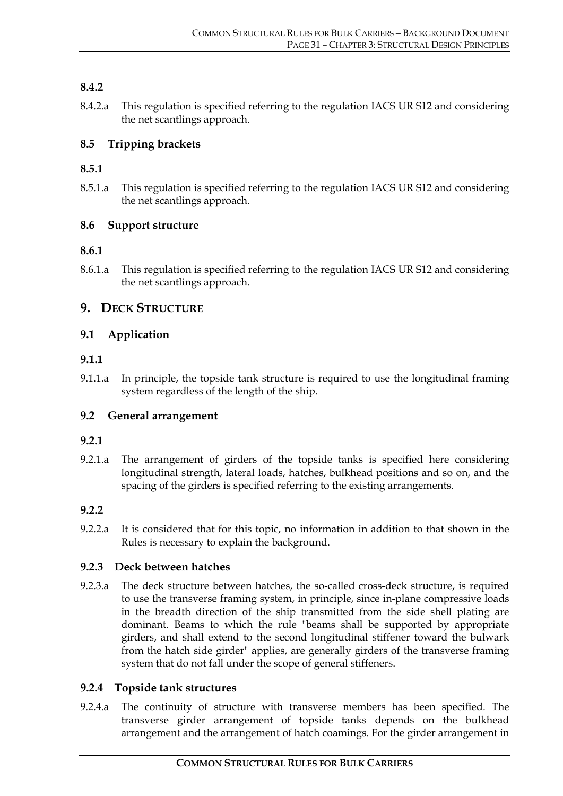# **8.4.2**

8.4.2.a This regulation is specified referring to the regulation IACS UR S12 and considering the net scantlings approach.

### **8.5 Tripping brackets**

### **8.5.1**

8.5.1.a This regulation is specified referring to the regulation IACS UR S12 and considering the net scantlings approach.

#### **8.6 Support structure**

#### **8.6.1**

8.6.1.a This regulation is specified referring to the regulation IACS UR S12 and considering the net scantlings approach.

# **9. DECK STRUCTURE**

### **9.1 Application**

#### **9.1.1**

9.1.1.a In principle, the topside tank structure is required to use the longitudinal framing system regardless of the length of the ship.

#### **9.2 General arrangement**

#### **9.2.1**

9.2.1.a The arrangement of girders of the topside tanks is specified here considering longitudinal strength, lateral loads, hatches, bulkhead positions and so on, and the spacing of the girders is specified referring to the existing arrangements.

#### **9.2.2**

9.2.2.a It is considered that for this topic, no information in addition to that shown in the Rules is necessary to explain the background.

#### **9.2.3 Deck between hatches**

9.2.3.a The deck structure between hatches, the so-called cross-deck structure, is required to use the transverse framing system, in principle, since in-plane compressive loads in the breadth direction of the ship transmitted from the side shell plating are dominant. Beams to which the rule "beams shall be supported by appropriate girders, and shall extend to the second longitudinal stiffener toward the bulwark from the hatch side girder" applies, are generally girders of the transverse framing system that do not fall under the scope of general stiffeners.

#### **9.2.4 Topside tank structures**

9.2.4.a The continuity of structure with transverse members has been specified. The transverse girder arrangement of topside tanks depends on the bulkhead arrangement and the arrangement of hatch coamings. For the girder arrangement in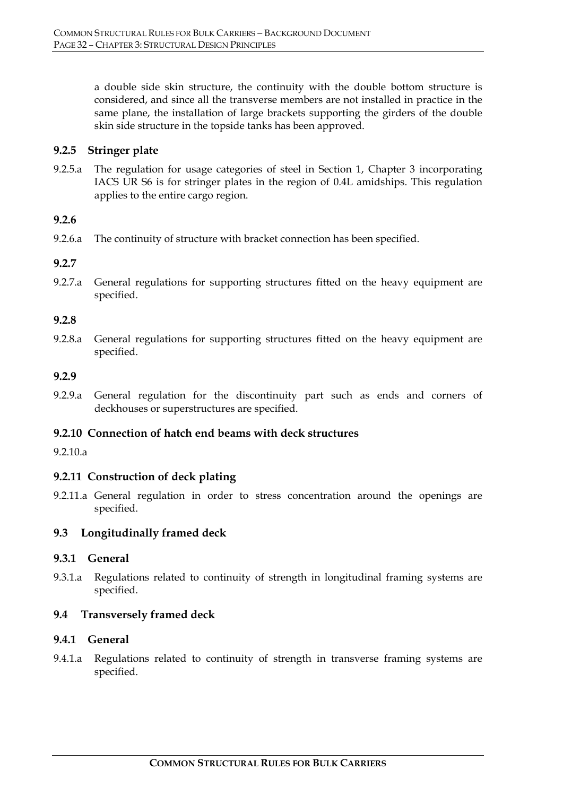a double side skin structure, the continuity with the double bottom structure is considered, and since all the transverse members are not installed in practice in the same plane, the installation of large brackets supporting the girders of the double skin side structure in the topside tanks has been approved.

#### **9.2.5 Stringer plate**

9.2.5.a The regulation for usage categories of steel in Section 1, Chapter 3 incorporating IACS UR S6 is for stringer plates in the region of 0.4L amidships. This regulation applies to the entire cargo region.

#### **9.2.6**

9.2.6.a The continuity of structure with bracket connection has been specified.

#### **9.2.7**

9.2.7.a General regulations for supporting structures fitted on the heavy equipment are specified.

#### **9.2.8**

9.2.8.a General regulations for supporting structures fitted on the heavy equipment are specified.

#### **9.2.9**

9.2.9.a General regulation for the discontinuity part such as ends and corners of deckhouses or superstructures are specified.

#### **9.2.10 Connection of hatch end beams with deck structures**

9.2.10.a

#### **9.2.11 Construction of deck plating**

9.2.11.a General regulation in order to stress concentration around the openings are specified.

#### **9.3 Longitudinally framed deck**

#### **9.3.1 General**

9.3.1.a Regulations related to continuity of strength in longitudinal framing systems are specified.

#### **9.4 Transversely framed deck**

#### **9.4.1 General**

9.4.1.a Regulations related to continuity of strength in transverse framing systems are specified.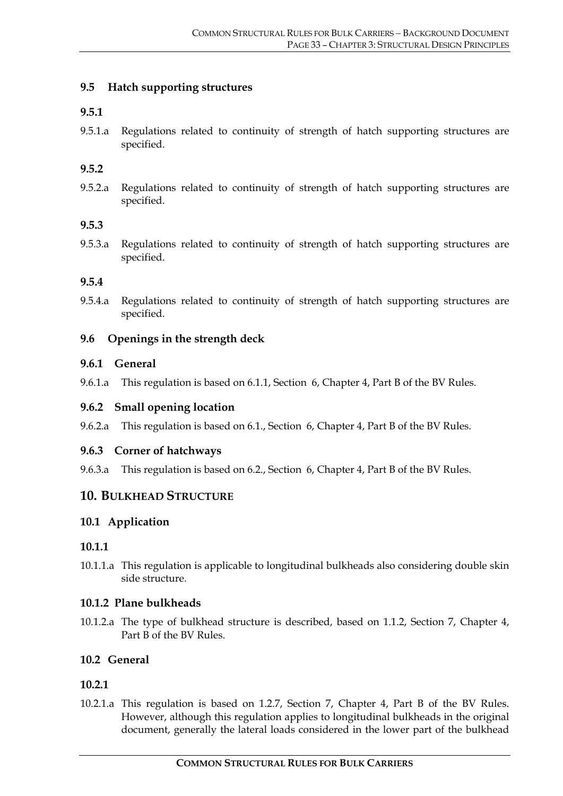#### **9.5 Hatch supporting structures**

#### **9.5.1**

9.5.1.a Regulations related to continuity of strength of hatch supporting structures are specified.

#### **9.5.2**

9.5.2.a Regulations related to continuity of strength of hatch supporting structures are specified.

#### **9.5.3**

9.5.3.a Regulations related to continuity of strength of hatch supporting structures are specified.

#### **9.5.4**

9.5.4.a Regulations related to continuity of strength of hatch supporting structures are specified.

#### **9.6 Openings in the strength deck**

#### **9.6.1 General**

9.6.1.a This regulation is based on 6.1.1, Section 6, Chapter 4, Part B of the BV Rules.

#### **9.6.2 Small opening location**

9.6.2.a This regulation is based on 6.1., Section 6, Chapter 4, Part B of the BV Rules.

#### **9.6.3 Corner of hatchways**

9.6.3.a This regulation is based on 6.2., Section 6, Chapter 4, Part B of the BV Rules.

#### **10. BULKHEAD STRUCTURE**

#### **10.1 Application**

#### **10.1.1**

10.1.1.a This regulation is applicable to longitudinal bulkheads also considering double skin side structure.

#### **10.1.2 Plane bulkheads**

10.1.2.a The type of bulkhead structure is described, based on 1.1.2, Section 7, Chapter 4, Part B of the BV Rules.

#### **10.2 General**

#### **10.2.1**

10.2.1.a This regulation is based on 1.2.7, Section 7, Chapter 4, Part B of the BV Rules. However, although this regulation applies to longitudinal bulkheads in the original document, generally the lateral loads considered in the lower part of the bulkhead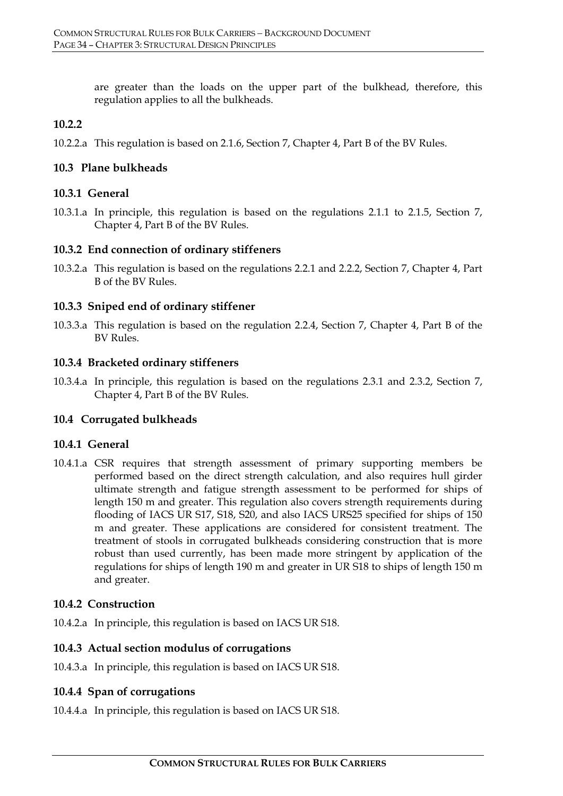are greater than the loads on the upper part of the bulkhead, therefore, this regulation applies to all the bulkheads.

# **10.2.2**

10.2.2.a This regulation is based on 2.1.6, Section 7, Chapter 4, Part B of the BV Rules.

# **10.3 Plane bulkheads**

# **10.3.1 General**

10.3.1.a In principle, this regulation is based on the regulations 2.1.1 to 2.1.5, Section 7, Chapter 4, Part B of the BV Rules.

# **10.3.2 End connection of ordinary stiffeners**

10.3.2.a This regulation is based on the regulations 2.2.1 and 2.2.2, Section 7, Chapter 4, Part B of the BV Rules.

# **10.3.3 Sniped end of ordinary stiffener**

10.3.3.a This regulation is based on the regulation 2.2.4, Section 7, Chapter 4, Part B of the BV Rules.

# **10.3.4 Bracketed ordinary stiffeners**

10.3.4.a In principle, this regulation is based on the regulations 2.3.1 and 2.3.2, Section 7, Chapter 4, Part B of the BV Rules.

# **10.4 Corrugated bulkheads**

# **10.4.1 General**

10.4.1.a CSR requires that strength assessment of primary supporting members be performed based on the direct strength calculation, and also requires hull girder ultimate strength and fatigue strength assessment to be performed for ships of length 150 m and greater. This regulation also covers strength requirements during flooding of IACS UR S17, S18, S20, and also IACS URS25 specified for ships of 150 m and greater. These applications are considered for consistent treatment. The treatment of stools in corrugated bulkheads considering construction that is more robust than used currently, has been made more stringent by application of the regulations for ships of length 190 m and greater in UR S18 to ships of length 150 m and greater.

# **10.4.2 Construction**

10.4.2.a In principle, this regulation is based on IACS UR S18.

# **10.4.3 Actual section modulus of corrugations**

10.4.3.a In principle, this regulation is based on IACS UR S18.

# **10.4.4 Span of corrugations**

10.4.4.a In principle, this regulation is based on IACS UR S18.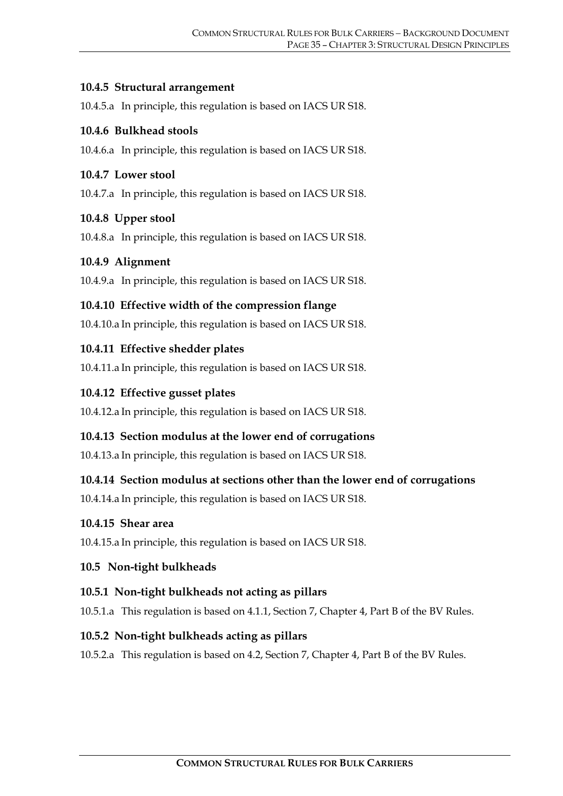#### **10.4.5 Structural arrangement**

10.4.5.a In principle, this regulation is based on IACS UR S18.

### **10.4.6 Bulkhead stools**

10.4.6.a In principle, this regulation is based on IACS UR S18.

#### **10.4.7 Lower stool**

10.4.7.a In principle, this regulation is based on IACS UR S18.

### **10.4.8 Upper stool**

10.4.8.a In principle, this regulation is based on IACS UR S18.

### **10.4.9 Alignment**

10.4.9.a In principle, this regulation is based on IACS UR S18.

# **10.4.10 Effective width of the compression flange**

10.4.10.a In principle, this regulation is based on IACS UR S18.

### **10.4.11 Effective shedder plates**

10.4.11.a In principle, this regulation is based on IACS UR S18.

### **10.4.12 Effective gusset plates**

10.4.12.a In principle, this regulation is based on IACS UR S18.

# **10.4.13 Section modulus at the lower end of corrugations**

10.4.13.a In principle, this regulation is based on IACS UR S18.

# **10.4.14 Section modulus at sections other than the lower end of corrugations**

10.4.14.a In principle, this regulation is based on IACS UR S18.

#### **10.4.15 Shear area**

10.4.15.a In principle, this regulation is based on IACS UR S18.

# **10.5 Non-tight bulkheads**

# **10.5.1 Non-tight bulkheads not acting as pillars**

10.5.1.a This regulation is based on 4.1.1, Section 7, Chapter 4, Part B of the BV Rules.

# **10.5.2 Non-tight bulkheads acting as pillars**

10.5.2.a This regulation is based on 4.2, Section 7, Chapter 4, Part B of the BV Rules.